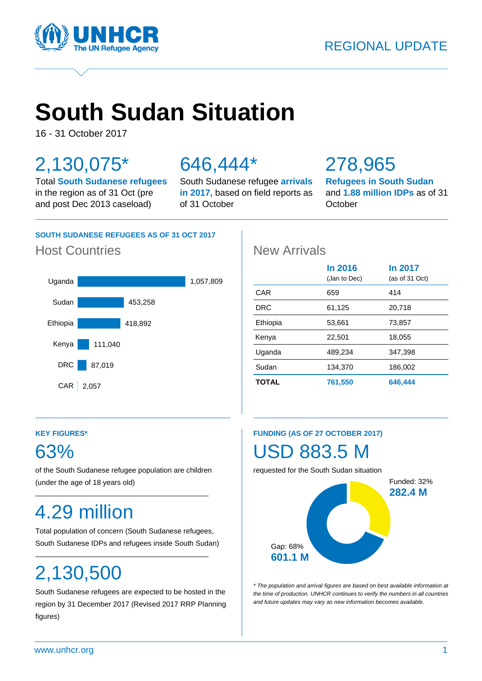

# **South Sudan Situation**

16 - 31 October 2017

## 2,130,075\*

Total **South Sudanese refugees** in the region as of 31 Oct (pre and post Dec 2013 caseload)

## 646,444\*

South Sudanese refugee **arrivals in 2017,** based on field reports as of 31 October

## 278,965

**Refugees in South Sudan** and **1.88 million IDPs** as of 31 **October** 

## **SOUTH SUDANESE REFUGEES AS OF 31 OCT 2017**

## Host Countries **New Arrivals**



|              | In 2016<br>(Jan to Dec) | In 2017<br>(as of 31 Oct) |
|--------------|-------------------------|---------------------------|
| CAR          | 659                     | 414                       |
| DRC          | 61,125                  | 20,718                    |
| Ethiopia     | 53,661                  | 73,857                    |
| Kenya        | 22,501                  | 18,055                    |
| Uganda       | 489,234                 | 347,398                   |
| Sudan        | 134,370                 | 186,002                   |
| <b>TOTAL</b> | 761,550                 | 646,444                   |

## **KEY FIGURES\***

## 63%

of the South Sudanese refugee population are children (under the age of 18 years old)

## 4.29 million

Total population of concern (South Sudanese refugees, South Sudanese IDPs and refugees inside South Sudan)

## 2,130,500

South Sudanese refugees are expected to be hosted in the region by 31 December 2017 (Revised 2017 RRP Planning figures)

## **FUNDING (AS OF 27 OCTOBER 2017)**

## USD 883.5 M

requested for the South Sudan situation



*\* The population and arrival figures are based on best available information at the time of production. UNHCR continues to verify the numbers in all countries and future updates may vary as new information becomes available.*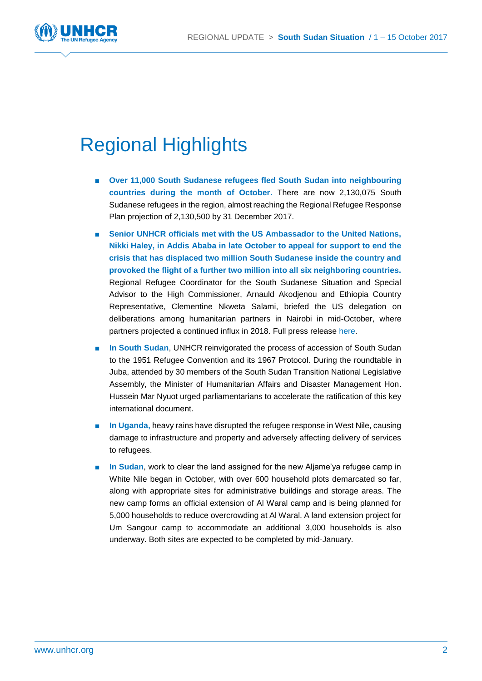

## Regional Highlights

- **Over 11,000 South Sudanese refugees fled South Sudan into neighbouring countries during the month of October.** There are now 2,130,075 South Sudanese refugees in the region, almost reaching the Regional Refugee Response Plan projection of 2,130,500 by 31 December 2017.
- Senior UNHCR officials met with the US Ambassador to the United Nations, **Nikki Haley, in Addis Ababa in late October to appeal for support to end the crisis that has displaced two million South Sudanese inside the country and provoked the flight of a further two million into all six neighboring countries.** Regional Refugee Coordinator for the South Sudanese Situation and Special Advisor to the High Commissioner, Arnauld Akodjenou and Ethiopia Country Representative, Clementine Nkweta Salami, briefed the US delegation on deliberations among humanitarian partners in Nairobi in mid-October, where partners projected a continued influx in 2018. Full press release [here.](http://www.unhcr.org/afr/news/press/2017/10/59f056574/senior-unhcr-officials-meet-with-us-ambassador-to-the-un-nikki-haley.html)
- **In South Sudan**, UNHCR reinvigorated the process of accession of South Sudan to the 1951 Refugee Convention and its 1967 Protocol. During the roundtable in Juba, attended by 30 members of the South Sudan Transition National Legislative Assembly, the Minister of Humanitarian Affairs and Disaster Management Hon. Hussein Mar Nyuot urged parliamentarians to accelerate the ratification of this key international document.
- **In Uganda**, heavy rains have disrupted the refugee response in West Nile, causing damage to infrastructure and property and adversely affecting delivery of services to refugees.
- **In Sudan**, work to clear the land assigned for the new Aliame'va refugee camp in White Nile began in October, with over 600 household plots demarcated so far, along with appropriate sites for administrative buildings and storage areas. The new camp forms an official extension of Al Waral camp and is being planned for 5,000 households to reduce overcrowding at Al Waral. A land extension project for Um Sangour camp to accommodate an additional 3,000 households is also underway. Both sites are expected to be completed by mid-January.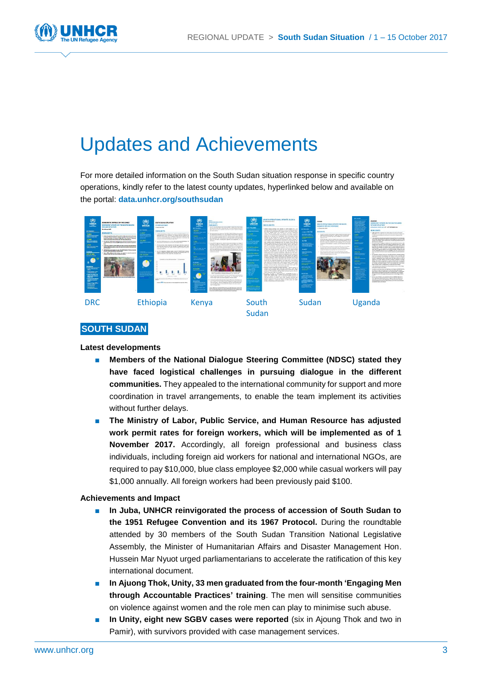

## Updates and Achievements

For more detailed information on the South Sudan situation response in specific country operations, kindly refer to the latest county updates, hyperlinked below and available on the portal: **[data.unhcr.org/southsudan](http://data.unhcr.org/southsudan)**



## **SOUTH SUDAN**

### **Latest developments**

- Members of the National Dialogue Steering Committee (NDSC) stated they **have faced logistical challenges in pursuing dialogue in the different communities.** They appealed to the international community for support and more coordination in travel arrangements, to enable the team implement its activities without further delays.
- The Ministry of Labor, Public Service, and Human Resource has adjusted **work permit rates for foreign workers, which will be implemented as of 1 November 2017.** Accordingly, all foreign professional and business class individuals, including foreign aid workers for national and international NGOs, are required to pay \$10,000, blue class employee \$2,000 while casual workers will pay \$1,000 annually. All foreign workers had been previously paid \$100.

- In Juba, UNHCR reinvigorated the process of accession of South Sudan to **the 1951 Refugee Convention and its 1967 Protocol.** During the roundtable attended by 30 members of the South Sudan Transition National Legislative Assembly, the Minister of Humanitarian Affairs and Disaster Management Hon. Hussein Mar Nyuot urged parliamentarians to accelerate the ratification of this key international document.
- **In Ajuong Thok, Unity, 33 men graduated from the four-month 'Engaging Men through Accountable Practices' training**. The men will sensitise communities on violence against women and the role men can play to minimise such abuse.
- In Unity, eight new SGBV cases were reported (six in Ajoung Thok and two in Pamir), with survivors provided with case management services.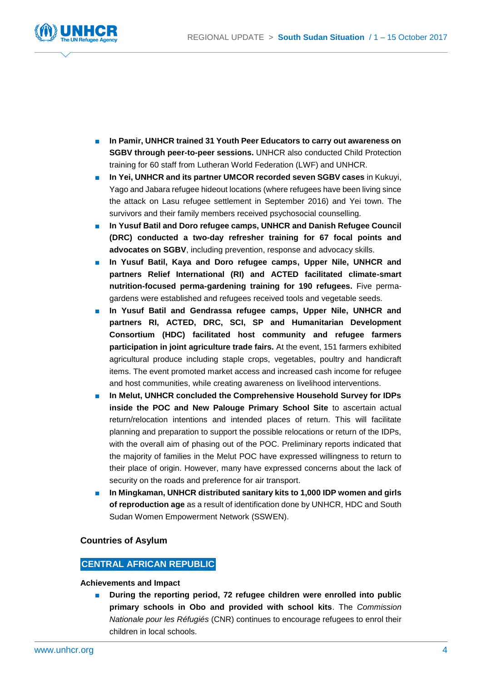

- In Pamir, UNHCR trained 31 Youth Peer Educators to carry out awareness on **SGBV through peer-to-peer sessions.** UNHCR also conducted Child Protection training for 60 staff from Lutheran World Federation (LWF) and UNHCR.
- **In Yei, UNHCR and its partner UMCOR recorded seven SGBV cases in Kukuyi,** Yago and Jabara refugee hideout locations (where refugees have been living since the attack on Lasu refugee settlement in September 2016) and Yei town. The survivors and their family members received psychosocial counselling.
- In Yusuf Batil and Doro refugee camps, UNHCR and Danish Refugee Council **(DRC) conducted a two-day refresher training for 67 focal points and advocates on SGBV**, including prevention, response and advocacy skills.
- In Yusuf Batil, Kaya and Doro refugee camps, Upper Nile, UNHCR and **partners Relief International (RI) and ACTED facilitated climate-smart nutrition-focused perma-gardening training for 190 refugees.** Five permagardens were established and refugees received tools and vegetable seeds.
- In Yusuf Batil and Gendrassa refugee camps, Upper Nile, UNHCR and **partners RI, ACTED, DRC, SCI, SP and Humanitarian Development Consortium (HDC) facilitated host community and refugee farmers participation in joint agriculture trade fairs.** At the event, 151 farmers exhibited agricultural produce including staple crops, vegetables, poultry and handicraft items. The event promoted market access and increased cash income for refugee and host communities, while creating awareness on livelihood interventions.
- **In Melut, UNHCR concluded the Comprehensive Household Survey for IDPs inside the POC and New Palouge Primary School Site** to ascertain actual return/relocation intentions and intended places of return. This will facilitate planning and preparation to support the possible relocations or return of the IDPs, with the overall aim of phasing out of the POC. Preliminary reports indicated that the majority of families in the Melut POC have expressed willingness to return to their place of origin. However, many have expressed concerns about the lack of security on the roads and preference for air transport.
- **In Mingkaman, UNHCR distributed sanitary kits to 1,000 IDP women and girls of reproduction age** as a result of identification done by UNHCR, HDC and South Sudan Women Empowerment Network (SSWEN).

## **Countries of Asylum**

## **CENTRAL AFRICAN REPUBLIC**

## **Achievements and Impact**

■ **During the reporting period, 72 refugee children were enrolled into public primary schools in Obo and provided with school kits**. The *Commission Nationale pour les Réfugiés* (CNR) continues to encourage refugees to enrol their children in local schools.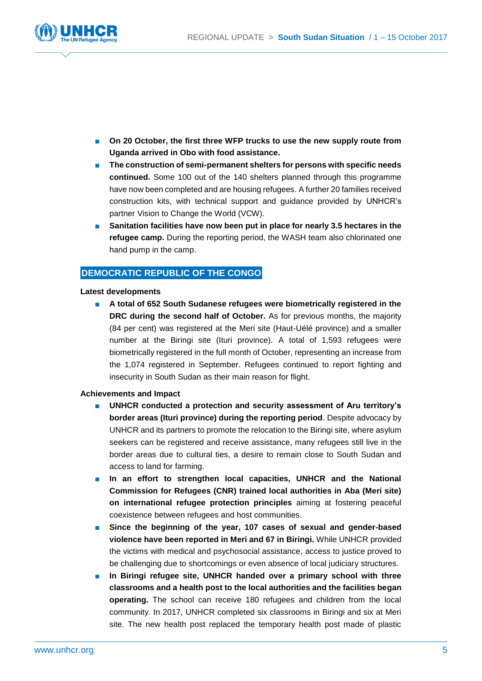

- On 20 October, the first three WFP trucks to use the new supply route from **Uganda arrived in Obo with food assistance.**
- **The construction of semi-permanent shelters for persons with specific needs continued.** Some 100 out of the 140 shelters planned through this programme have now been completed and are housing refugees. A further 20 families received construction kits, with technical support and guidance provided by UNHCR's partner Vision to Change the World (VCW).
- Sanitation facilities have now been put in place for nearly 3.5 hectares in the **refugee camp.** During the reporting period, the WASH team also chlorinated one hand pump in the camp.

## **DEMOCRATIC REPUBLIC OF THE CONGO**

### **Latest developments**

■ **A total of 652 South Sudanese refugees were biometrically registered in the DRC during the second half of October.** As for previous months, the majority (84 per cent) was registered at the Meri site (Haut-Uélé province) and a smaller number at the Biringi site (Ituri province). A total of 1,593 refugees were biometrically registered in the full month of October, representing an increase from the 1,074 registered in September. Refugees continued to report fighting and insecurity in South Sudan as their main reason for flight.

- UNHCR conducted a protection and security assessment of Aru territory's **border areas (Ituri province) during the reporting period**. Despite advocacy by UNHCR and its partners to promote the relocation to the Biringi site, where asylum seekers can be registered and receive assistance, many refugees still live in the border areas due to cultural ties, a desire to remain close to South Sudan and access to land for farming.
- **In an effort to strengthen local capacities, UNHCR and the National Commission for Refugees (CNR) trained local authorities in Aba (Meri site) on international refugee protection principles** aiming at fostering peaceful coexistence between refugees and host communities.
- **Since the beginning of the year, 107 cases of sexual and gender-based violence have been reported in Meri and 67 in Biringi.** While UNHCR provided the victims with medical and psychosocial assistance, access to justice proved to be challenging due to shortcomings or even absence of local judiciary structures.
- In Biringi refugee site, UNHCR handed over a primary school with three **classrooms and a health post to the local authorities and the facilities began operating.** The school can receive 180 refugees and children from the local community. In 2017, UNHCR completed six classrooms in Biringi and six at Meri site. The new health post replaced the temporary health post made of plastic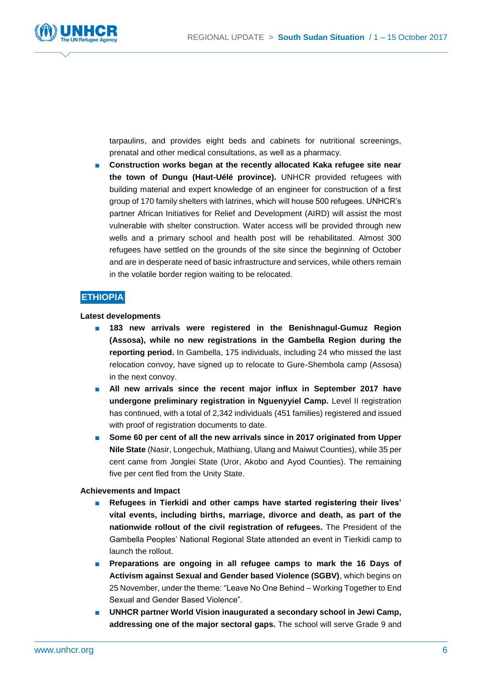

tarpaulins, and provides eight beds and cabinets for nutritional screenings, prenatal and other medical consultations, as well as a pharmacy.

Construction works began at the recently allocated Kaka refugee site near **the town of Dungu (Haut-Uélé province).** UNHCR provided refugees with building material and expert knowledge of an engineer for construction of a first group of 170 family shelters with latrines, which will house 500 refugees. UNHCR's partner African Initiatives for Relief and Development (AIRD) will assist the most vulnerable with shelter construction. Water access will be provided through new wells and a primary school and health post will be rehabilitated. Almost 300 refugees have settled on the grounds of the site since the beginning of October and are in desperate need of basic infrastructure and services, while others remain in the volatile border region waiting to be relocated.

## **ETHIOPIA**

### **Latest developments**

- 183 new arrivals were registered in the Benishnagul-Gumuz Region **(Assosa), while no new registrations in the Gambella Region during the reporting period.** In Gambella, 175 individuals, including 24 who missed the last relocation convoy, have signed up to relocate to Gure-Shembola camp (Assosa) in the next convoy.
- **All new arrivals since the recent major influx in September 2017 have undergone preliminary registration in Nguenyyiel Camp.** Level II registration has continued, with a total of 2,342 individuals (451 families) registered and issued with proof of registration documents to date.
- Some 60 per cent of all the new arrivals since in 2017 originated from Upper **Nile State** (Nasir, Longechuk, Mathiang, Ulang and Maiwut Counties), while 35 per cent came from Jonglei State (Uror, Akobo and Ayod Counties). The remaining five per cent fled from the Unity State.

- **Refugees in Tierkidi and other camps have started registering their lives' vital events, including births, marriage, divorce and death, as part of the nationwide rollout of the civil registration of refugees.** The President of the Gambella Peoples' National Regional State attended an event in Tierkidi camp to launch the rollout.
- **Preparations are ongoing in all refugee camps to mark the 16 Days of Activism against Sexual and Gender based Violence (SGBV)**, which begins on 25 November, under the theme: "Leave No One Behind – Working Together to End Sexual and Gender Based Violence".
- UNHCR partner World Vision inaugurated a secondary school in Jewi Camp, **addressing one of the major sectoral gaps.** The school will serve Grade 9 and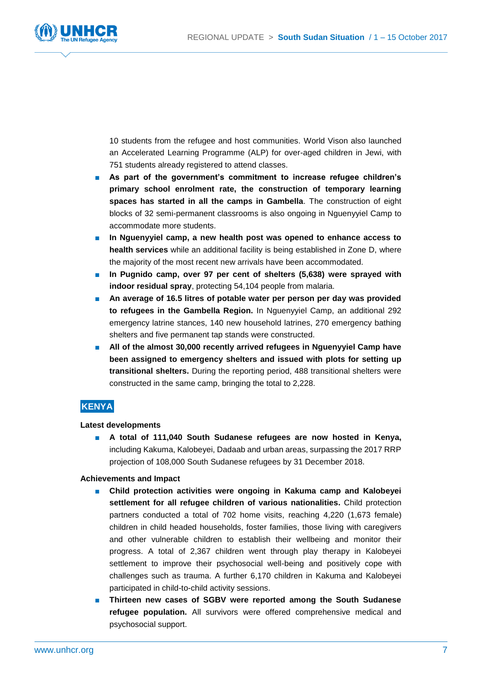

10 students from the refugee and host communities. World Vison also launched an Accelerated Learning Programme (ALP) for over-aged children in Jewi, with 751 students already registered to attend classes.

- **As part of the government's commitment to increase refugee children's primary school enrolment rate, the construction of temporary learning spaces has started in all the camps in Gambella**. The construction of eight blocks of 32 semi-permanent classrooms is also ongoing in Nguenyyiel Camp to accommodate more students.
- In Nguenyyiel camp, a new health post was opened to enhance access to **health services** while an additional facility is being established in Zone D, where the majority of the most recent new arrivals have been accommodated.
- In Pugnido camp, over 97 per cent of shelters (5,638) were sprayed with **indoor residual spray**, protecting 54,104 people from malaria.
- **An average of 16.5 litres of potable water per person per day was provided to refugees in the Gambella Region.** In Nguenyyiel Camp, an additional 292 emergency latrine stances, 140 new household latrines, 270 emergency bathing shelters and five permanent tap stands were constructed.
- All of the almost 30,000 recently arrived refugees in Nguenyyiel Camp have **been assigned to emergency shelters and issued with plots for setting up transitional shelters.** During the reporting period, 488 transitional shelters were constructed in the same camp, bringing the total to 2,228.

## **KENYA**

### **Latest developments**

■ **A total of 111,040 South Sudanese refugees are now hosted in Kenya,** including Kakuma, Kalobeyei, Dadaab and urban areas, surpassing the 2017 RRP projection of 108,000 South Sudanese refugees by 31 December 2018.

- Child protection activities were ongoing in Kakuma camp and Kalobeyei **settlement for all refugee children of various nationalities.** Child protection partners conducted a total of 702 home visits, reaching 4,220 (1,673 female) children in child headed households, foster families, those living with caregivers and other vulnerable children to establish their wellbeing and monitor their progress. A total of 2,367 children went through play therapy in Kalobeyei settlement to improve their psychosocial well-being and positively cope with challenges such as trauma. A further 6,170 children in Kakuma and Kalobeyei participated in child-to-child activity sessions.
- **Thirteen new cases of SGBV were reported among the South Sudanese refugee population.** All survivors were offered comprehensive medical and psychosocial support.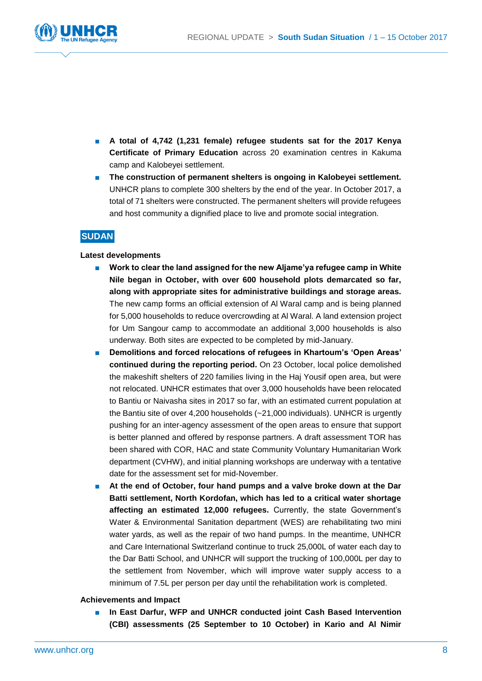

- **A total of 4,742 (1,231 female) refugee students sat for the 2017 Kenya Certificate of Primary Education** across 20 examination centres in Kakuma camp and Kalobeyei settlement.
- **The construction of permanent shelters is ongoing in Kalobeyei settlement.** UNHCR plans to complete 300 shelters by the end of the year. In October 2017, a total of 71 shelters were constructed. The permanent shelters will provide refugees and host community a dignified place to live and promote social integration.

## **SUDAN**

### **Latest developments**

- Work to clear the land assigned for the new Aljame'ya refugee camp in White **Nile began in October, with over 600 household plots demarcated so far, along with appropriate sites for administrative buildings and storage areas.** The new camp forms an official extension of Al Waral camp and is being planned for 5,000 households to reduce overcrowding at Al Waral. A land extension project for Um Sangour camp to accommodate an additional 3,000 households is also underway. Both sites are expected to be completed by mid-January.
- **Demolitions and forced relocations of refugees in Khartoum's 'Open Areas' continued during the reporting period.** On 23 October, local police demolished the makeshift shelters of 220 families living in the Haj Yousif open area, but were not relocated. UNHCR estimates that over 3,000 households have been relocated to Bantiu or Naivasha sites in 2017 so far, with an estimated current population at the Bantiu site of over 4,200 households (~21,000 individuals). UNHCR is urgently pushing for an inter-agency assessment of the open areas to ensure that support is better planned and offered by response partners. A draft assessment TOR has been shared with COR, HAC and state Community Voluntary Humanitarian Work department (CVHW), and initial planning workshops are underway with a tentative date for the assessment set for mid-November.
- **At the end of October, four hand pumps and a valve broke down at the Dar Batti settlement, North Kordofan, which has led to a critical water shortage affecting an estimated 12,000 refugees.** Currently, the state Government's Water & Environmental Sanitation department (WES) are rehabilitating two mini water yards, as well as the repair of two hand pumps. In the meantime, UNHCR and Care International Switzerland continue to truck 25,000L of water each day to the Dar Batti School, and UNHCR will support the trucking of 100,000L per day to the settlement from November, which will improve water supply access to a minimum of 7.5L per person per day until the rehabilitation work is completed.

### **Achievements and Impact**

■ In East Darfur, WFP and UNHCR conducted joint Cash Based Intervention **(CBI) assessments (25 September to 10 October) in Kario and Al Nimir**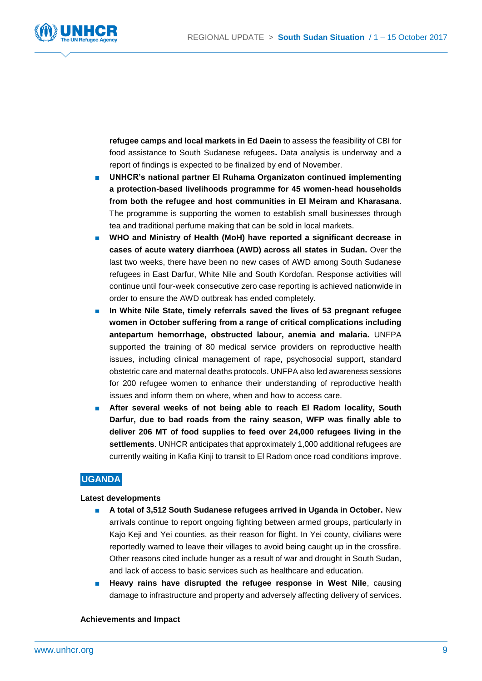

**refugee camps and local markets in Ed Daein** to assess the feasibility of CBI for food assistance to South Sudanese refugees**.** Data analysis is underway and a report of findings is expected to be finalized by end of November.

- **UNHCR's national partner El Ruhama Organizaton continued implementing a protection-based livelihoods programme for 45 women-head households from both the refugee and host communities in El Meiram and Kharasana**. The programme is supporting the women to establish small businesses through tea and traditional perfume making that can be sold in local markets.
- **WHO and Ministry of Health (MoH) have reported a significant decrease in cases of acute watery diarrhoea (AWD) across all states in Sudan.** Over the last two weeks, there have been no new cases of AWD among South Sudanese refugees in East Darfur, White Nile and South Kordofan. Response activities will continue until four-week consecutive zero case reporting is achieved nationwide in order to ensure the AWD outbreak has ended completely.
- In White Nile State, timely referrals saved the lives of 53 pregnant refugee **women in October suffering from a range of critical complications including antepartum hemorrhage, obstructed labour, anemia and malaria.** UNFPA supported the training of 80 medical service providers on reproductive health issues, including clinical management of rape, psychosocial support, standard obstetric care and maternal deaths protocols. UNFPA also led awareness sessions for 200 refugee women to enhance their understanding of reproductive health issues and inform them on where, when and how to access care.
- After several weeks of not being able to reach El Radom locality, South **Darfur, due to bad roads from the rainy season, WFP was finally able to deliver 206 MT of food supplies to feed over 24,000 refugees living in the settlements**. UNHCR anticipates that approximately 1,000 additional refugees are currently waiting in Kafia Kinji to transit to El Radom once road conditions improve.

## **UGANDA**

### **Latest developments**

- **A total of 3,512 South Sudanese refugees arrived in Uganda in October.** New arrivals continue to report ongoing fighting between armed groups, particularly in Kajo Keji and Yei counties, as their reason for flight. In Yei county, civilians were reportedly warned to leave their villages to avoid being caught up in the crossfire. Other reasons cited include hunger as a result of war and drought in South Sudan, and lack of access to basic services such as healthcare and education.
- **Heavy rains have disrupted the refugee response in West Nile, causing** damage to infrastructure and property and adversely affecting delivery of services.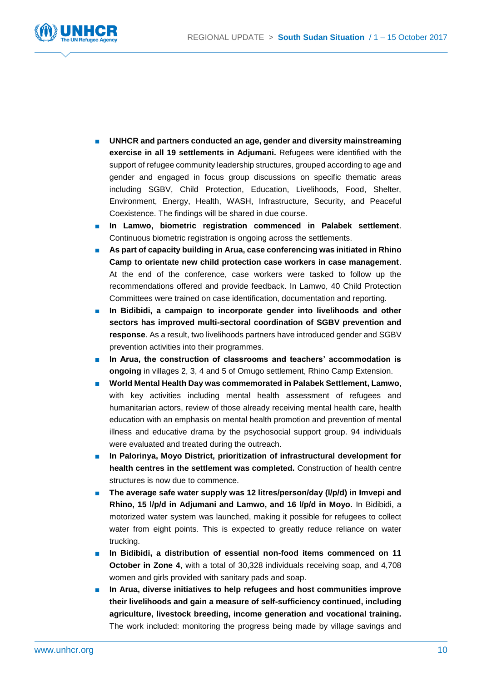

- **UNHCR and partners conducted an age, gender and diversity mainstreaming exercise in all 19 settlements in Adjumani.** Refugees were identified with the support of refugee community leadership structures, grouped according to age and gender and engaged in focus group discussions on specific thematic areas including SGBV, Child Protection, Education, Livelihoods, Food, Shelter, Environment, Energy, Health, WASH, Infrastructure, Security, and Peaceful Coexistence. The findings will be shared in due course.
- **In Lamwo, biometric registration commenced in Palabek settlement**. Continuous biometric registration is ongoing across the settlements.
- **As part of capacity building in Arua, case conferencing was initiated in Rhino Camp to orientate new child protection case workers in case management**. At the end of the conference, case workers were tasked to follow up the recommendations offered and provide feedback. In Lamwo, 40 Child Protection Committees were trained on case identification, documentation and reporting.
- In Bidibidi, a campaign to incorporate gender into livelihoods and other **sectors has improved multi-sectoral coordination of SGBV prevention and response**. As a result, two livelihoods partners have introduced gender and SGBV prevention activities into their programmes.
- In Arua, the construction of classrooms and teachers' accommodation is **ongoing** in villages 2, 3, 4 and 5 of Omugo settlement, Rhino Camp Extension.
- **World Mental Health Day was commemorated in Palabek Settlement, Lamwo,** with key activities including mental health assessment of refugees and humanitarian actors, review of those already receiving mental health care, health education with an emphasis on mental health promotion and prevention of mental illness and educative drama by the psychosocial support group. 94 individuals were evaluated and treated during the outreach.
- In Palorinya, Moyo District, prioritization of infrastructural development for **health centres in the settlement was completed.** Construction of health centre structures is now due to commence.
- The average safe water supply was 12 litres/person/day (l/p/d) in Imvepi and **Rhino, 15 l/p/d in Adjumani and Lamwo, and 16 l/p/d in Moyo.** In Bidibidi, a motorized water system was launched, making it possible for refugees to collect water from eight points. This is expected to greatly reduce reliance on water trucking.
- In Bidibidi, a distribution of essential non-food items commenced on 11 **October in Zone 4**, with a total of 30,328 individuals receiving soap, and 4,708 women and girls provided with sanitary pads and soap.
- In Arua, diverse initiatives to help refugees and host communities improve **their livelihoods and gain a measure of self-sufficiency continued, including agriculture, livestock breeding, income generation and vocational training.** The work included: monitoring the progress being made by village savings and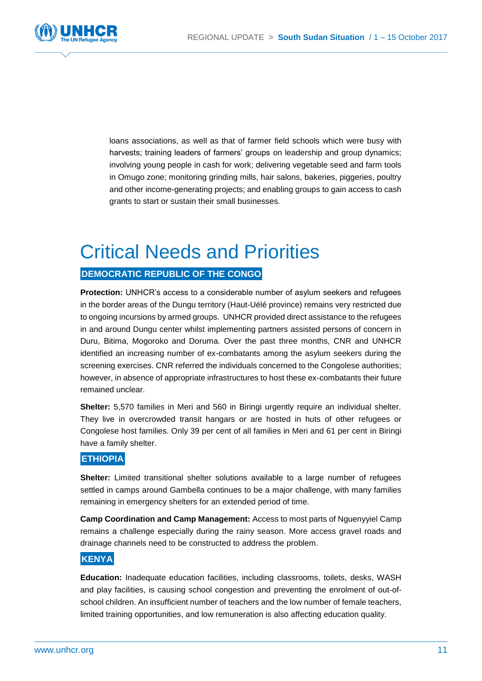

loans associations, as well as that of farmer field schools which were busy with harvests; training leaders of farmers' groups on leadership and group dynamics; involving young people in cash for work; delivering vegetable seed and farm tools in Omugo zone; monitoring grinding mills, hair salons, bakeries, piggeries, poultry and other income-generating projects; and enabling groups to gain access to cash grants to start or sustain their small businesses.

## Critical Needs and Priorities

## **DEMOCRATIC REPUBLIC OF THE CONGO**

**Protection:** UNHCR's access to a considerable number of asylum seekers and refugees in the border areas of the Dungu territory (Haut-Uélé province) remains very restricted due to ongoing incursions by armed groups. UNHCR provided direct assistance to the refugees in and around Dungu center whilst implementing partners assisted persons of concern in Duru, Bitima, Mogoroko and Doruma. Over the past three months, CNR and UNHCR identified an increasing number of ex-combatants among the asylum seekers during the screening exercises. CNR referred the individuals concerned to the Congolese authorities; however, in absence of appropriate infrastructures to host these ex-combatants their future remained unclear.

**Shelter:** 5,570 families in Meri and 560 in Biringi urgently require an individual shelter. They live in overcrowded transit hangars or are hosted in huts of other refugees or Congolese host families. Only 39 per cent of all families in Meri and 61 per cent in Biringi have a family shelter.

## **ETHIOPIA**

**Shelter:** Limited transitional shelter solutions available to a large number of refugees settled in camps around Gambella continues to be a major challenge, with many families remaining in emergency shelters for an extended period of time.

**Camp Coordination and Camp Management:** Access to most parts of Nguenyyiel Camp remains a challenge especially during the rainy season. More access gravel roads and drainage channels need to be constructed to address the problem.

## **KENYA**

**Education:** Inadequate education facilities, including classrooms, toilets, desks, WASH and play facilities, is causing school congestion and preventing the enrolment of out-ofschool children. An insufficient number of teachers and the low number of female teachers, limited training opportunities, and low remuneration is also affecting education quality.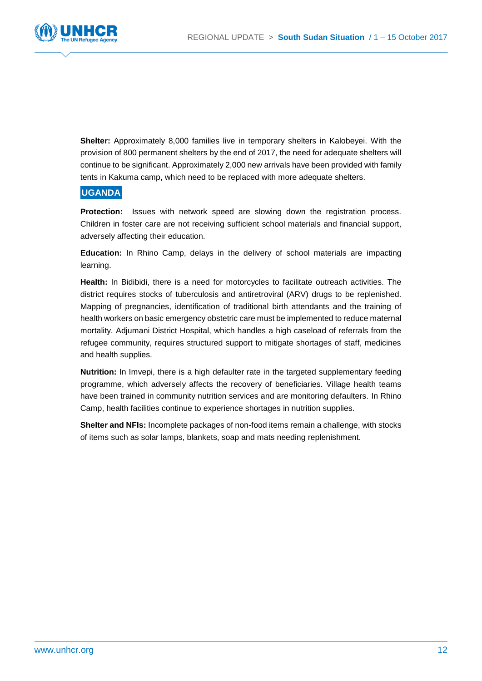

**Shelter:** Approximately 8,000 families live in temporary shelters in Kalobeyei. With the provision of 800 permanent shelters by the end of 2017, the need for adequate shelters will continue to be significant. Approximately 2,000 new arrivals have been provided with family tents in Kakuma camp, which need to be replaced with more adequate shelters.

## **UGANDA**

**Protection:** Issues with network speed are slowing down the registration process. Children in foster care are not receiving sufficient school materials and financial support, adversely affecting their education.

**Education:** In Rhino Camp, delays in the delivery of school materials are impacting learning.

**Health:** In Bidibidi, there is a need for motorcycles to facilitate outreach activities. The district requires stocks of tuberculosis and antiretroviral (ARV) drugs to be replenished. Mapping of pregnancies, identification of traditional birth attendants and the training of health workers on basic emergency obstetric care must be implemented to reduce maternal mortality. Adjumani District Hospital, which handles a high caseload of referrals from the refugee community, requires structured support to mitigate shortages of staff, medicines and health supplies.

**Nutrition:** In Imvepi, there is a high defaulter rate in the targeted supplementary feeding programme, which adversely affects the recovery of beneficiaries. Village health teams have been trained in community nutrition services and are monitoring defaulters. In Rhino Camp, health facilities continue to experience shortages in nutrition supplies.

**Shelter and NFIs:** Incomplete packages of non-food items remain a challenge, with stocks of items such as solar lamps, blankets, soap and mats needing replenishment.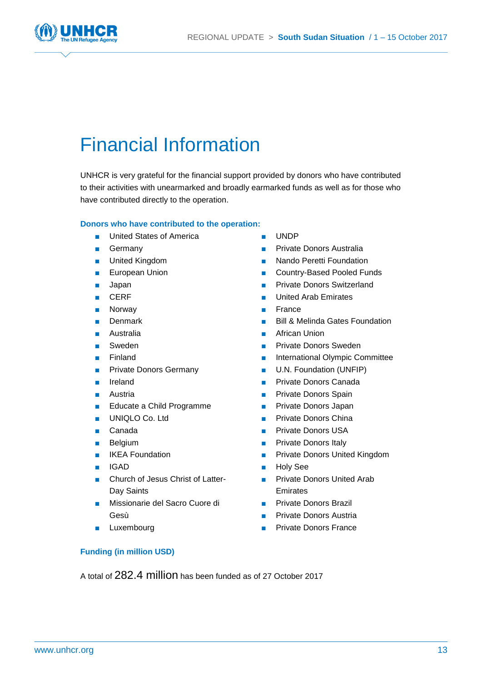

## Financial Information

UNHCR is very grateful for the financial support provided by donors who have contributed to their activities with unearmarked and broadly earmarked funds as well as for those who have contributed directly to the operation.

## **Donors who have contributed to the operation:**

- United States of America
- Germany
- United Kingdom
- European Union
- Japan
- CERF
- Norway
- Denmark
- Australia
- Sweden
- Finland
- **Private Donors Germany**
- Ireland
- Austria
- Educate a Child Programme
- UNIQLO Co. Ltd
- Canada
- Belgium
- **IKEA Foundation**
- IGAD
- Church of Jesus Christ of Latter-Day Saints
- Missionarie del Sacro Cuore di Gesù
- Luxembourg
- UNDP
- Private Donors Australia
- **Nando Peretti Foundation**
- Country-Based Pooled Funds
- Private Donors Switzerland
- United Arab Emirates
- France
- Bill & Melinda Gates Foundation
- African Union
- **Private Donors Sweden**
- International Olympic Committee
- U.N. Foundation (UNFIP)
- Private Donors Canada
- Private Donors Spain
- Private Donors Japan
- Private Donors China
- Private Donors USA
- Private Donors Italy
- Private Donors United Kingdom
- Holy See
- Private Donors United Arab Emirates
- **Private Donors Brazil**
- Private Donors Austria
- Private Donors France

## **Funding (in million USD)**

A total of 282.4 million has been funded as of 27 October 2017